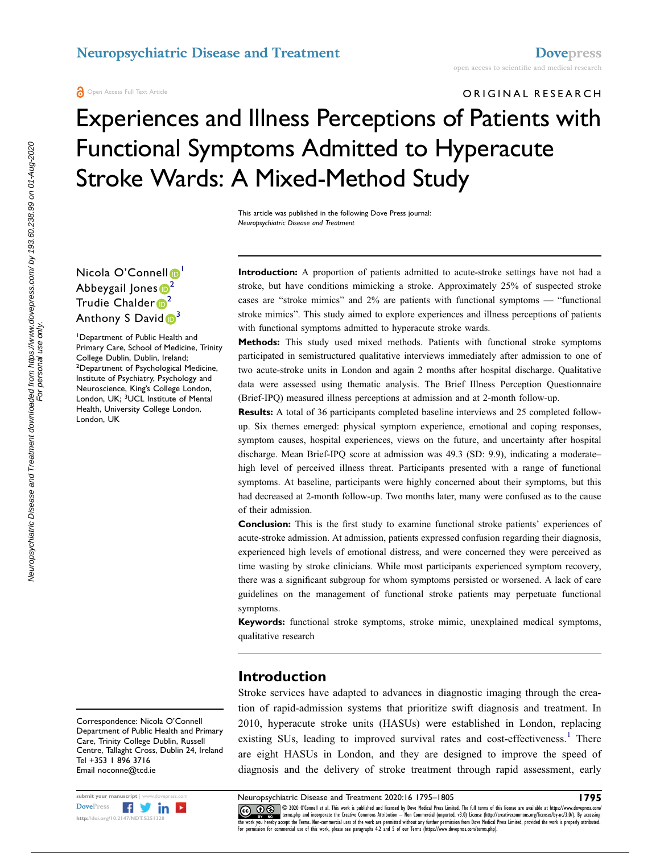ORIGINAL RESEARCH

# Experiences and Illness Perceptions of Patients with Functional Symptoms Admitted to Hyperacute Stroke Wards: A Mixed-Method Study

This article was published in the following Dove Press journal: Neuropsychiatric Disease and Treatment

Nicola O'Connell<sup>®</sup> Abbeygail Jones  $\mathbb{D}^2$  $\mathbb{D}^2$ Trudie Chalder  $\mathbb{D}^2$  $\mathbb{D}^2$ Anthony S David <sup>[3](#page-0-2)</sup>

<span id="page-0-2"></span><span id="page-0-1"></span><span id="page-0-0"></span>1 Department of Public Health and Primary Care, School of Medicine, Trinity College Dublin, Dublin, Ireland; <sup>2</sup>Department of Psychological Medicine, Institute of Psychiatry, Psychology and Neuroscience, King's College London, London, UK; <sup>3</sup>UCL Institute of Mental Health, University College London, London, UK

Introduction: A proportion of patients admitted to acute-stroke settings have not had a stroke, but have conditions mimicking a stroke. Approximately 25% of suspected stroke cases are "stroke mimics" and 2% are patients with functional symptoms — "functional stroke mimics". This study aimed to explore experiences and illness perceptions of patients with functional symptoms admitted to hyperacute stroke wards.

Methods: This study used mixed methods. Patients with functional stroke symptoms participated in semistructured qualitative interviews immediately after admission to one of two acute-stroke units in London and again 2 months after hospital discharge. Qualitative data were assessed using thematic analysis. The Brief Illness Perception Questionnaire (Brief-IPQ) measured illness perceptions at admission and at 2-month follow-up.

Results: A total of 36 participants completed baseline interviews and 25 completed followup. Six themes emerged: physical symptom experience, emotional and coping responses, symptom causes, hospital experiences, views on the future, and uncertainty after hospital discharge. Mean Brief-IPQ score at admission was 49.3 (SD: 9.9), indicating a moderate– high level of perceived illness threat. Participants presented with a range of functional symptoms. At baseline, participants were highly concerned about their symptoms, but this had decreased at 2-month follow-up. Two months later, many were confused as to the cause of their admission.

**Conclusion:** This is the first study to examine functional stroke patients' experiences of acute-stroke admission. At admission, patients expressed confusion regarding their diagnosis, experienced high levels of emotional distress, and were concerned they were perceived as time wasting by stroke clinicians. While most participants experienced symptom recovery, there was a significant subgroup for whom symptoms persisted or worsened. A lack of care guidelines on the management of functional stroke patients may perpetuate functional symptoms.

Keywords: functional stroke symptoms, stroke mimic, unexplained medical symptoms, qualitative research

#### Introduction

<span id="page-0-3"></span>Stroke services have adapted to advances in diagnostic imaging through the creation of rapid-admission systems that prioritize swift diagnosis and treatment. In 2010, hyperacute stroke units (HASUs) were established in London, replacing existing SUs, leading to improved survival rates and cost-effectiveness.<sup>[1](#page-9-0)</sup> There are eight HASUs in London, and they are designed to improve the speed of diagnosis and the delivery of stroke treatment through rapid assessment, early

Correspondence: Nicola O'Connell Department of Public Health and Primary Care, Trinity College Dublin, Russell Centre, Tallaght Cross, Dublin 24, Ireland Tel +353 1 896 3716 Email noconne@tcd.ie



submit your manuscript | www.dovepress.com **Neuropsychiatric Disease and Treatment 2020:16 1795–1805** 1795–1805 1795 CC **1 3** 2020 O'Connell et al. This work is published and licensed by Dove Medical Press Limited. The full terms of this license are available at https://www.dovepress.com/ www.partier.com sphp and incorporate the Creative Commons Attribution — Non Commercial (unported, v3.0) License (http://creativecommons.org/licenses/by-nc/3.0/). By accessing<br>the work you hereby accept the Terms. Non-comme For permission for commercial use of this work, please see paragraphs 4.2 and 5 of our Terms (https://www.dovepress.com/terms.php).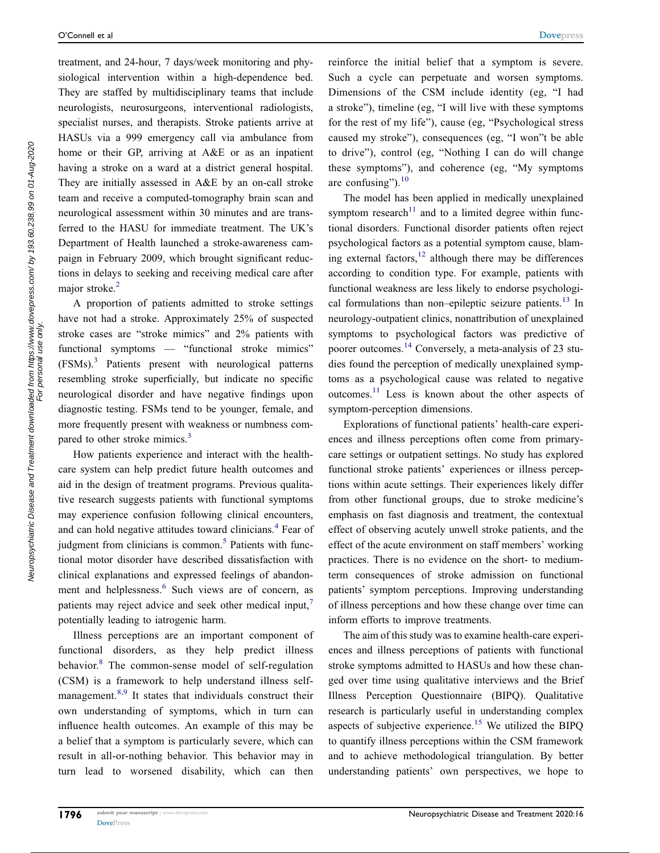treatment, and 24-hour, 7 days/week monitoring and physiological intervention within a high-dependence bed. They are staffed by multidisciplinary teams that include neurologists, neurosurgeons, interventional radiologists, specialist nurses, and therapists. Stroke patients arrive at HASUs via a 999 emergency call via ambulance from home or their GP, arriving at A&E or as an inpatient having a stroke on a ward at a district general hospital. They are initially assessed in A&E by an on-call stroke team and receive a computed-tomography brain scan and neurological assessment within 30 minutes and are transferred to the HASU for immediate treatment. The UK's Department of Health launched a stroke-awareness campaign in February 2009, which brought significant reductions in delays to seeking and receiving medical care after major stroke.<sup>[2](#page-9-1)</sup>

<span id="page-1-0"></span>A proportion of patients admitted to stroke settings have not had a stroke. Approximately 25% of suspected stroke cases are "stroke mimics" and 2% patients with functional symptoms — "functional stroke mimics" (FSMs)[.3](#page-9-2) Patients present with neurological patterns resembling stroke superficially, but indicate no specific neurological disorder and have negative findings upon diagnostic testing. FSMs tend to be younger, female, and more frequently present with weakness or numbness com-pared to other stroke mimics.<sup>[3](#page-9-2)</sup>

<span id="page-1-3"></span><span id="page-1-2"></span><span id="page-1-1"></span>How patients experience and interact with the healthcare system can help predict future health outcomes and aid in the design of treatment programs. Previous qualitative research suggests patients with functional symptoms may experience confusion following clinical encounters, and can hold negative attitudes toward clinicians.[4](#page-9-3) Fear of judgment from clinicians is common. $5$  Patients with functional motor disorder have described dissatisfaction with clinical explanations and expressed feelings of abandon-ment and helplessness.<sup>[6](#page-9-5)</sup> Such views are of concern, as patients may reject advice and seek other medical input,<sup>[7](#page-9-6)</sup> potentially leading to iatrogenic harm.

<span id="page-1-6"></span><span id="page-1-5"></span><span id="page-1-4"></span>Illness perceptions are an important component of functional disorders, as they help predict illness behavior.[8](#page-9-7) The common-sense model of self-regulation (CSM) is a framework to help understand illness self-management.<sup>[8,](#page-9-7)[9](#page-9-8)</sup> It states that individuals construct their own understanding of symptoms, which in turn can influence health outcomes. An example of this may be a belief that a symptom is particularly severe, which can result in all-or-nothing behavior. This behavior may in turn lead to worsened disability, which can then reinforce the initial belief that a symptom is severe. Such a cycle can perpetuate and worsen symptoms. Dimensions of the CSM include identity (eg, "I had a stroke"), timeline (eg, "I will live with these symptoms for the rest of my life"), cause (eg, "Psychological stress caused my stroke"), consequences (eg, "I won"t be able to drive"), control (eg, "Nothing I can do will change these symptoms"), and coherence (eg, "My symptoms are confusing"). $10$ 

<span id="page-1-10"></span><span id="page-1-9"></span><span id="page-1-7"></span>The model has been applied in medically unexplained symptom research $11$  and to a limited degree within functional disorders. Functional disorder patients often reject psychological factors as a potential symptom cause, blaming external factors, $12$  although there may be differences according to condition type. For example, patients with functional weakness are less likely to endorse psychological formulations than non–epileptic seizure patients. $^{13}$  $^{13}$  $^{13}$  In neurology-outpatient clinics, nonattribution of unexplained symptoms to psychological factors was predictive of poorer outcomes.[14](#page-9-13) Conversely, a meta-analysis of 23 studies found the perception of medically unexplained symptoms as a psychological cause was related to negative outcomes.[11](#page-9-10) Less is known about the other aspects of symptom-perception dimensions.

<span id="page-1-11"></span><span id="page-1-8"></span>Explorations of functional patients' health-care experiences and illness perceptions often come from primarycare settings or outpatient settings. No study has explored functional stroke patients' experiences or illness perceptions within acute settings. Their experiences likely differ from other functional groups, due to stroke medicine's emphasis on fast diagnosis and treatment, the contextual effect of observing acutely unwell stroke patients, and the effect of the acute environment on staff members' working practices. There is no evidence on the short- to mediumterm consequences of stroke admission on functional patients' symptom perceptions. Improving understanding of illness perceptions and how these change over time can inform efforts to improve treatments.

<span id="page-1-12"></span>The aim of this study was to examine health-care experiences and illness perceptions of patients with functional stroke symptoms admitted to HASUs and how these changed over time using qualitative interviews and the Brief Illness Perception Questionnaire (BIPQ). Qualitative research is particularly useful in understanding complex aspects of subjective experience.<sup>[15](#page-9-14)</sup> We utilized the BIPO to quantify illness perceptions within the CSM framework and to achieve methodological triangulation. By better understanding patients' own perspectives, we hope to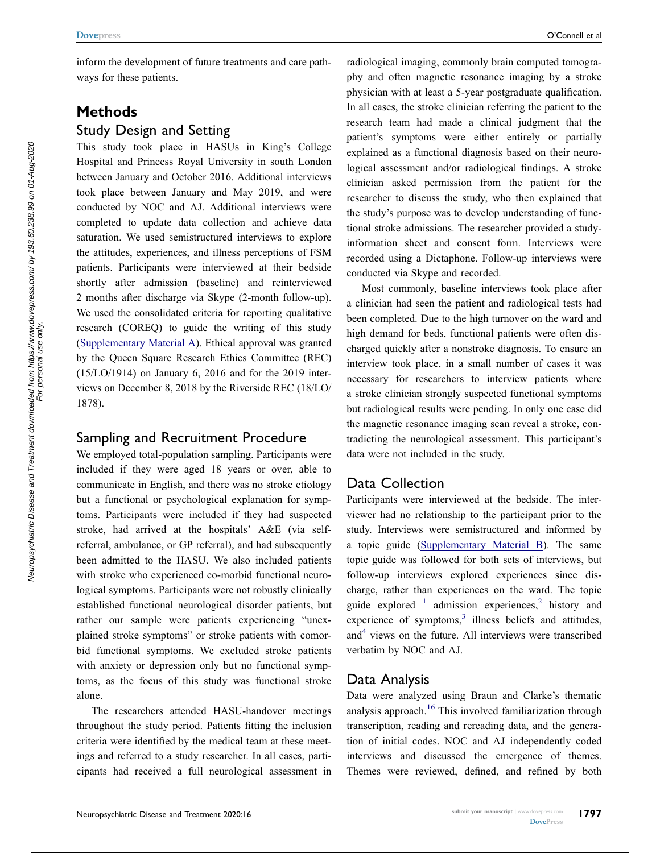# **Methods**

# Study Design and Setting

This study took place in HASUs in King's College Hospital and Princess Royal University in south London between January and October 2016. Additional interviews took place between January and May 2019, and were conducted by NOC and AJ. Additional interviews were completed to update data collection and achieve data saturation. We used semistructured interviews to explore the attitudes, experiences, and illness perceptions of FSM patients. Participants were interviewed at their bedside shortly after admission (baseline) and reinterviewed 2 months after discharge via Skype (2-month follow-up). We used the consolidated criteria for reporting qualitative research (COREQ) to guide the writing of this study [\(Supplementary Material A\)](http://www.dovepress.com/get_supplementary_file.php?f=251328.docx). Ethical approval was granted by the Queen Square Research Ethics Committee (REC) (15/LO/1914) on January 6, 2016 and for the 2019 interviews on December 8, 2018 by the Riverside REC (18/LO/ 1878).

# Sampling and Recruitment Procedure

We employed total-population sampling. Participants were included if they were aged 18 years or over, able to communicate in English, and there was no stroke etiology but a functional or psychological explanation for symptoms. Participants were included if they had suspected stroke, had arrived at the hospitals' A&E (via selfreferral, ambulance, or GP referral), and had subsequently been admitted to the HASU. We also included patients with stroke who experienced co-morbid functional neurological symptoms. Participants were not robustly clinically established functional neurological disorder patients, but rather our sample were patients experiencing "unexplained stroke symptoms" or stroke patients with comorbid functional symptoms. We excluded stroke patients with anxiety or depression only but no functional symptoms, as the focus of this study was functional stroke alone.

The researchers attended HASU-handover meetings throughout the study period. Patients fitting the inclusion criteria were identified by the medical team at these meetings and referred to a study researcher. In all cases, participants had received a full neurological assessment in radiological imaging, commonly brain computed tomography and often magnetic resonance imaging by a stroke physician with at least a 5-year postgraduate qualification. In all cases, the stroke clinician referring the patient to the research team had made a clinical judgment that the patient's symptoms were either entirely or partially explained as a functional diagnosis based on their neurological assessment and/or radiological findings. A stroke clinician asked permission from the patient for the researcher to discuss the study, who then explained that the study's purpose was to develop understanding of functional stroke admissions. The researcher provided a studyinformation sheet and consent form. Interviews were recorded using a Dictaphone. Follow-up interviews were conducted via Skype and recorded.

Most commonly, baseline interviews took place after a clinician had seen the patient and radiological tests had been completed. Due to the high turnover on the ward and high demand for beds, functional patients were often discharged quickly after a nonstroke diagnosis. To ensure an interview took place, in a small number of cases it was necessary for researchers to interview patients where a stroke clinician strongly suspected functional symptoms but radiological results were pending. In only one case did the magnetic resonance imaging scan reveal a stroke, contradicting the neurological assessment. This participant's data were not included in the study.

# Data Collection

Participants were interviewed at the bedside. The interviewer had no relationship to the participant prior to the study. Interviews were semistructured and informed by a topic guide [\(Supplementary Material B\)](http://www.dovepress.com/get_supplementary_file.php?f=251328.docx). The same topic guide was followed for both sets of interviews, but follow-up interviews explored experiences since discharge, rather than experiences on the ward. The topic guide explored  $\frac{1}{1}$  $\frac{1}{1}$  $\frac{1}{1}$  admission experiences, history and experience of symptoms, $3$  illness beliefs and attitudes, and<sup>4</sup> views on the future. All interviews were transcribed verbatim by NOC and AJ.

# Data Analysis

<span id="page-2-0"></span>Data were analyzed using Braun and Clarke's thematic analysis approach.<sup>[16](#page-9-15)</sup> This involved familiarization through transcription, reading and rereading data, and the generation of initial codes. NOC and AJ independently coded interviews and discussed the emergence of themes. Themes were reviewed, defined, and refined by both

For personal use only.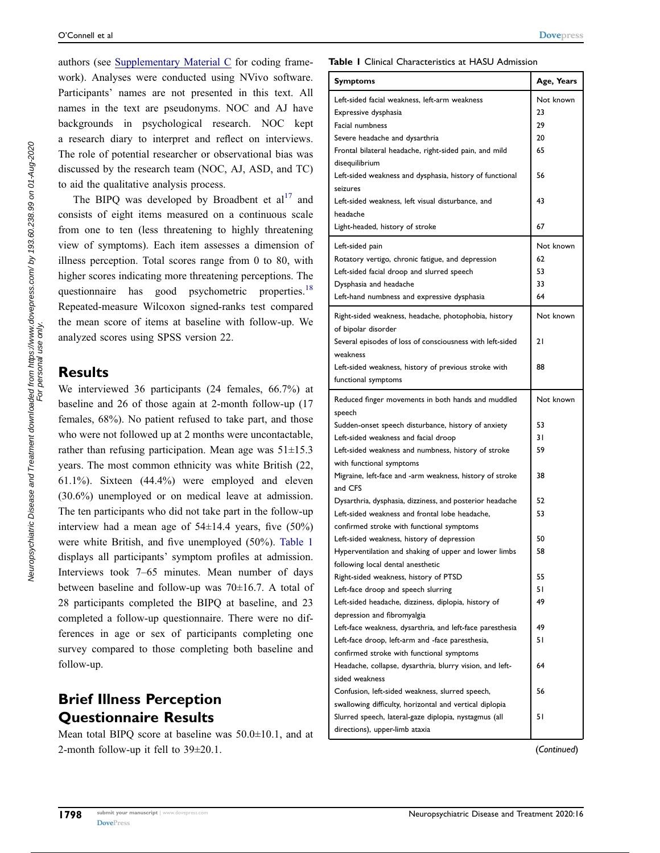authors (see [Supplementary Material C](http://www.dovepress.com/get_supplementary_file.php?f=251328.docx) for coding framework). Analyses were conducted using NVivo software. Participants' names are not presented in this text. All names in the text are pseudonyms. NOC and AJ have backgrounds in psychological research. NOC kept a research diary to interpret and reflect on interviews. The role of potential researcher or observational bias was discussed by the research team (NOC, AJ, ASD, and TC) to aid the qualitative analysis process.

<span id="page-3-2"></span><span id="page-3-1"></span>The BIPQ was developed by Broadbent et  $al<sup>17</sup>$  $al<sup>17</sup>$  $al<sup>17</sup>$  and consists of eight items measured on a continuous scale from one to ten (less threatening to highly threatening view of symptoms). Each item assesses a dimension of illness perception. Total scores range from 0 to 80, with higher scores indicating more threatening perceptions. The questionnaire has good psychometric properties.<sup>[18](#page-9-17)</sup> Repeated-measure Wilcoxon signed-ranks test compared the mean score of items at baseline with follow-up. We analyzed scores using SPSS version 22.

#### **Results**

We interviewed 36 participants (24 females, 66.7%) at baseline and 26 of those again at 2-month follow-up (17 females, 68%). No patient refused to take part, and those who were not followed up at 2 months were uncontactable, rather than refusing participation. Mean age was  $51\pm15.3$ years. The most common ethnicity was white British (22, 61.1%). Sixteen (44.4%) were employed and eleven (30.6%) unemployed or on medical leave at admission. The ten participants who did not take part in the follow-up interview had a mean age of  $54\pm14.4$  years, five  $(50\%)$ were white British, and five unemployed (50%). [Table 1](#page-3-0) displays all participants' symptom profiles at admission. Interviews took 7–65 minutes. Mean number of days between baseline and follow-up was 70±16.7. A total of 28 participants completed the BIPQ at baseline, and 23 completed a follow-up questionnaire. There were no differences in age or sex of participants completing one survey compared to those completing both baseline and follow-up.

# Brief Illness Perception Questionnaire Results

Mean total BIPQ score at baseline was 50.0±10.1, and at 2-month follow-up it fell to 39±20.1.

<span id="page-3-0"></span>Table 1 Clinical Characteristics at HASU Admission

| Symptoms                                                                    | Age, Years |
|-----------------------------------------------------------------------------|------------|
| Left-sided facial weakness, left-arm weakness                               | Not known  |
| Expressive dysphasia                                                        | 23         |
| Facial numbness                                                             | 29         |
| Severe headache and dysarthria                                              | 20         |
| Frontal bilateral headache, right-sided pain, and mild                      | 65         |
| disequilibrium                                                              |            |
| Left-sided weakness and dysphasia, history of functional                    | 56         |
| seizures                                                                    |            |
| Left-sided weakness, left visual disturbance, and                           | 43         |
| headache                                                                    |            |
| Light-headed, history of stroke                                             | 67         |
| Left-sided pain                                                             | Not known  |
| Rotatory vertigo, chronic fatigue, and depression                           | 62         |
| Left-sided facial droop and slurred speech                                  | 53         |
| Dysphasia and headache                                                      | 33         |
| Left-hand numbness and expressive dysphasia                                 | 64         |
| Right-sided weakness, headache, photophobia, history<br>of bipolar disorder | Not known  |
| Several episodes of loss of consciousness with left-sided                   | 21         |
| weakness                                                                    |            |
| Left-sided weakness, history of previous stroke with                        | 88         |
| functional symptoms                                                         |            |
| Reduced finger movements in both hands and muddled                          | Not known  |
| speech                                                                      |            |
| Sudden-onset speech disturbance, history of anxiety                         | 53         |
| Left-sided weakness and facial droop                                        | 31         |
| Left-sided weakness and numbness, history of stroke                         | 59         |
| with functional symptoms                                                    |            |
| Migraine, left-face and -arm weakness, history of stroke<br>and CFS         | 38         |
| Dysarthria, dysphasia, dizziness, and posterior headache                    | 52         |
| Left-sided weakness and frontal lobe headache,                              | 53         |
| confirmed stroke with functional symptoms                                   |            |
| Left-sided weakness, history of depression                                  | 50         |
| Hyperventilation and shaking of upper and lower limbs                       | 58         |
| following local dental anesthetic                                           |            |
| Right-sided weakness, history of PTSD                                       | 55         |
| Left-face droop and speech slurring                                         | 51         |
| Left-sided headache, dizziness, diplopia, history of                        | 49         |
| depression and fibromyalgia                                                 |            |
| Left-face weakness, dysarthria, and left-face paresthesia                   | 49         |
| Left-face droop, left-arm and -face paresthesia,                            | 51         |
| confirmed stroke with functional symptoms                                   |            |
| Headache, collapse, dysarthria, blurry vision, and left-                    | 64         |
| sided weakness                                                              |            |
| Confusion, left-sided weakness, slurred speech,                             | 56         |
| swallowing difficulty, horizontal and vertical diplopia                     |            |
| Slurred speech, lateral-gaze diplopia, nystagmus (all                       | 51         |
| directions), upper-limb ataxia                                              |            |

(Continued)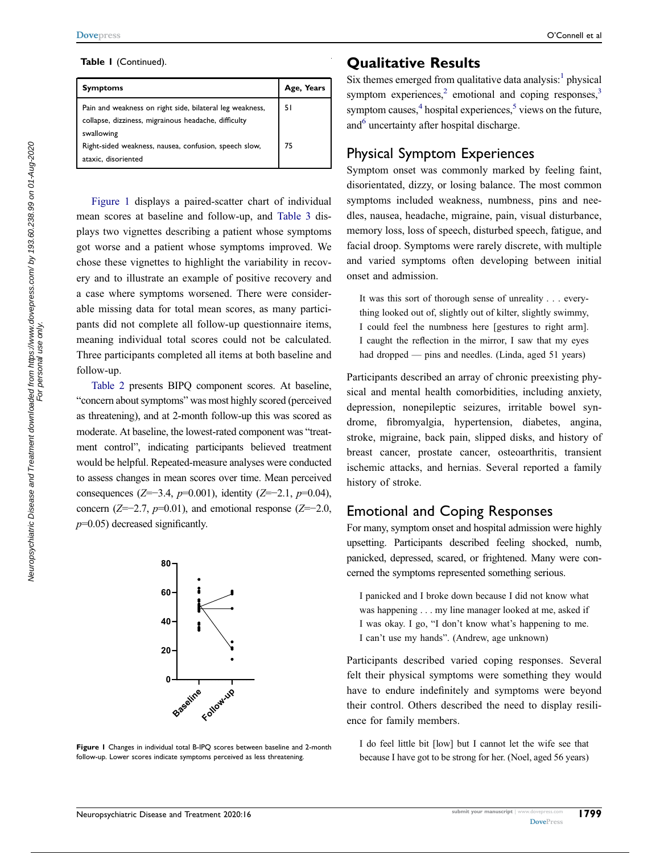#### Table I (Continued).

| <b>Symptoms</b>                                                                                                  | Years |
|------------------------------------------------------------------------------------------------------------------|-------|
| Pain and weakness on right side, bilateral leg weakness,<br>collapse, dizziness, migrainous headache, difficulty | 51    |
| swallowing<br>Right-sided weakness, nausea, confusion, speech slow,<br>ataxic, disoriented                       | 75    |

[Figure 1](#page-4-0) displays a paired-scatter chart of individual mean scores at baseline and follow-up, and [Table 3](#page-6-0) displays two vignettes describing a patient whose symptoms got worse and a patient whose symptoms improved. We chose these vignettes to highlight the variability in recovery and to illustrate an example of positive recovery and a case where symptoms worsened. There were considerable missing data for total mean scores, as many participants did not complete all follow-up questionnaire items, meaning individual total scores could not be calculated. Three participants completed all items at both baseline and follow-up.

[Table 2](#page-5-0) presents BIPQ component scores. At baseline, "concern about symptoms" was most highly scored (perceived as threatening), and at 2-month follow-up this was scored as moderate. At baseline, the lowest-rated component was "treatment control", indicating participants believed treatment would be helpful. Repeated-measure analyses were conducted to assess changes in mean scores over time. Mean perceived consequences ( $Z=-3.4$ ,  $p=0.001$ ), identity ( $Z=-2.1$ ,  $p=0.04$ ), concern ( $Z=-2.7$ ,  $p=0.01$ ), and emotional response ( $Z=-2.0$ ,  $p=0.05$ ) decreased significantly.

<span id="page-4-0"></span>

Figure I Changes in individual total B-IPQ scores between baseline and 2-month follow-up. Lower scores indicate symptoms perceived as less threatening.

### Qualitative Results

Six themes emerged from qualitative data analysis: $<sup>1</sup>$  physical</sup> symptom experiences, $\frac{2}{3}$  $\frac{2}{3}$  $\frac{2}{3}$  $\frac{2}{3}$  $\frac{2}{3}$  emotional and coping responses, $\frac{3}{3}$ symptom causes, $4$  hospital experiences, $5$  views on the future, and<sup>6</sup> uncertainty after hospital discharge.

#### Physical Symptom Experiences

Symptom onset was commonly marked by feeling faint, disorientated, dizzy, or losing balance. The most common symptoms included weakness, numbness, pins and needles, nausea, headache, migraine, pain, visual disturbance, memory loss, loss of speech, disturbed speech, fatigue, and facial droop. Symptoms were rarely discrete, with multiple and varied symptoms often developing between initial onset and admission.

It was this sort of thorough sense of unreality . . . everything looked out of, slightly out of kilter, slightly swimmy, I could feel the numbness here [gestures to right arm]. I caught the reflection in the mirror, I saw that my eyes had dropped — pins and needles. (Linda, aged 51 years)

Participants described an array of chronic preexisting physical and mental health comorbidities, including anxiety, depression, nonepileptic seizures, irritable bowel syndrome, fibromyalgia, hypertension, diabetes, angina, stroke, migraine, back pain, slipped disks, and history of breast cancer, prostate cancer, osteoarthritis, transient ischemic attacks, and hernias. Several reported a family history of stroke.

# Emotional and Coping Responses

For many, symptom onset and hospital admission were highly upsetting. Participants described feeling shocked, numb, panicked, depressed, scared, or frightened. Many were concerned the symptoms represented something serious.

I panicked and I broke down because I did not know what was happening . . . my line manager looked at me, asked if I was okay. I go, "I don't know what's happening to me. I can't use my hands". (Andrew, age unknown)

Participants described varied coping responses. Several felt their physical symptoms were something they would have to endure indefinitely and symptoms were beyond their control. Others described the need to display resilience for family members.

I do feel little bit [low] but I cannot let the wife see that because I have got to be strong for her. (Noel, aged 56 years)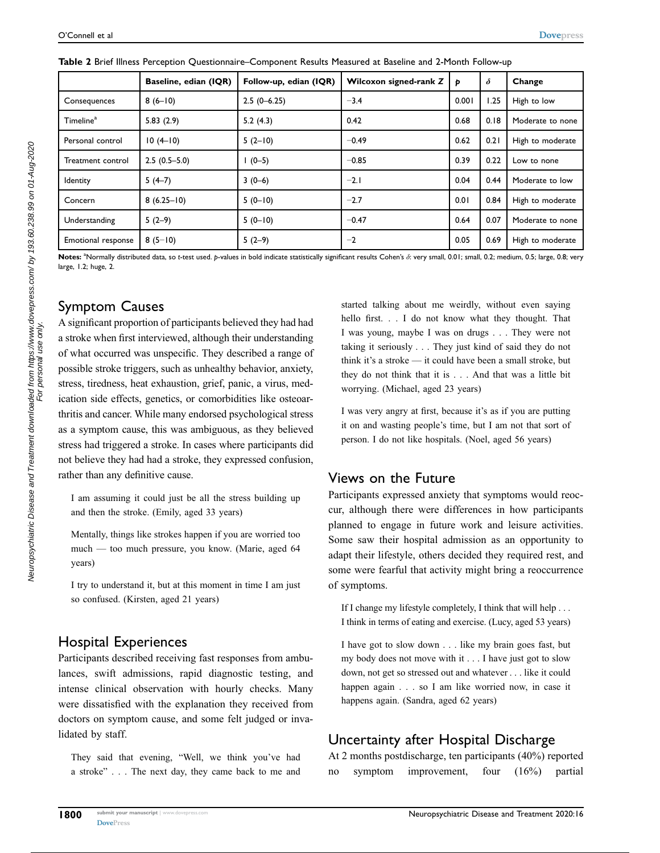|                       | Baseline, edian (IQR) | Follow-up, edian (IQR) | Wilcoxon signed-rank Z | Þ     | $\delta$ | Change           |
|-----------------------|-----------------------|------------------------|------------------------|-------|----------|------------------|
| Consequences          | $8(6-10)$             | $2.5(0-6.25)$          | $-3.4$                 | 0.001 | 1.25     | High to low      |
| Timeline <sup>a</sup> | 5.83(2.9)             | 5.2(4.3)               | 0.42                   | 0.68  | 0.18     | Moderate to none |
| Personal control      | $10(4-10)$            | $5(2-10)$              | $-0.49$                | 0.62  | 0.21     | High to moderate |
| Treatment control     | $2.5(0.5-5.0)$        | $(0-5)$                | $-0.85$                | 0.39  | 0.22     | Low to none      |
| Identity              | $5(4-7)$              | $3(0-6)$               | $-2.1$                 | 0.04  | 0.44     | Moderate to low  |
| Concern               | $8(6.25-10)$          | $5(0-10)$              | $-2.7$                 | 0.01  | 0.84     | High to moderate |
| Understanding         | $5(2-9)$              | $5(0-10)$              | $-0.47$                | 0.64  | 0.07     | Moderate to none |
| Emotional response    | $8(5-10)$             | $5(2-9)$               | $-2$                   | 0.05  | 0.69     | High to moderate |

<span id="page-5-0"></span>Table 2 Brief Illness Perception Questionnaire–Component Results Measured at Baseline and 2-Month Follow-up

Notes: <sup>a</sup>Normally distributed data, so t-test used. p-values in bold indicate statistically significant results Cohen's δ: very small, 0.01; small, 0.2; medium, 0.5; large, 0.8; very large, 1.2; huge, 2.

#### Symptom Causes

A significant proportion of participants believed they had had a stroke when first interviewed, although their understanding of what occurred was unspecific. They described a range of possible stroke triggers, such as unhealthy behavior, anxiety, stress, tiredness, heat exhaustion, grief, panic, a virus, medication side effects, genetics, or comorbidities like osteoarthritis and cancer. While many endorsed psychological stress as a symptom cause, this was ambiguous, as they believed stress had triggered a stroke. In cases where participants did not believe they had had a stroke, they expressed confusion, rather than any definitive cause.

I am assuming it could just be all the stress building up and then the stroke. (Emily, aged 33 years)

Mentally, things like strokes happen if you are worried too much — too much pressure, you know. (Marie, aged 64 years)

I try to understand it, but at this moment in time I am just so confused. (Kirsten, aged 21 years)

### Hospital Experiences

Participants described receiving fast responses from ambulances, swift admissions, rapid diagnostic testing, and intense clinical observation with hourly checks. Many were dissatisfied with the explanation they received from doctors on symptom cause, and some felt judged or invalidated by staff.

They said that evening, "Well, we think you've had a stroke" . . . The next day, they came back to me and started talking about me weirdly, without even saying hello first. . . I do not know what they thought. That I was young, maybe I was on drugs . . . They were not taking it seriously . . . They just kind of said they do not think it's a stroke — it could have been a small stroke, but they do not think that it is . . . And that was a little bit worrying. (Michael, aged 23 years)

I was very angry at first, because it's as if you are putting it on and wasting people's time, but I am not that sort of person. I do not like hospitals. (Noel, aged 56 years)

# Views on the Future

Participants expressed anxiety that symptoms would reoccur, although there were differences in how participants planned to engage in future work and leisure activities. Some saw their hospital admission as an opportunity to adapt their lifestyle, others decided they required rest, and some were fearful that activity might bring a reoccurrence of symptoms.

If I change my lifestyle completely, I think that will help . . . I think in terms of eating and exercise. (Lucy, aged 53 years)

I have got to slow down . . . like my brain goes fast, but my body does not move with it . . . I have just got to slow down, not get so stressed out and whatever . . . like it could happen again . . . so I am like worried now, in case it happens again. (Sandra, aged 62 years)

# Uncertainty after Hospital Discharge

At 2 months postdischarge, ten participants (40%) reported no symptom improvement, four (16%) partial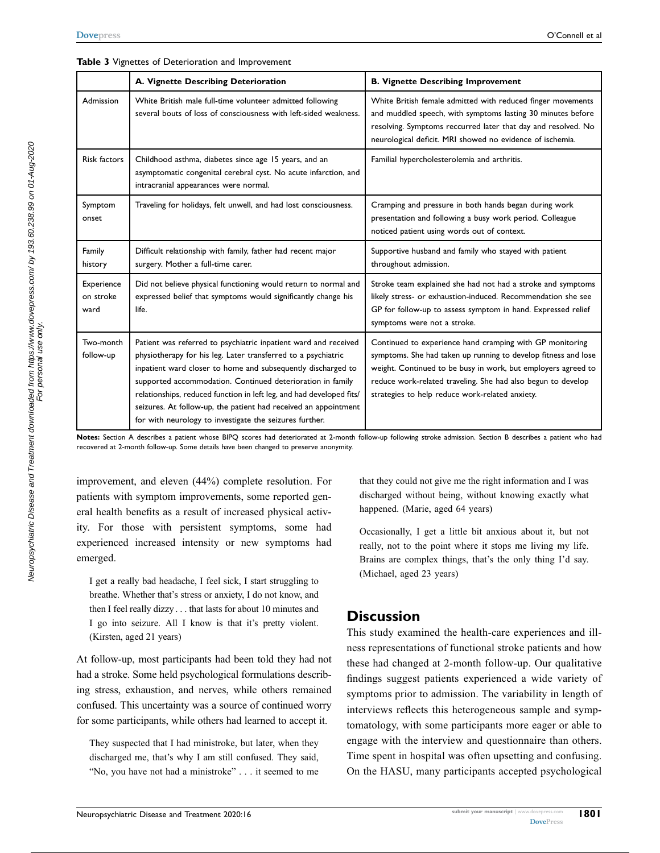|                                 | A. Vignette Describing Deterioration                                                                                                                                                                                                                                                                                                                                                                                                                                 | <b>B. Vignette Describing Improvement</b>                                                                                                                                                                                                                                                                      |
|---------------------------------|----------------------------------------------------------------------------------------------------------------------------------------------------------------------------------------------------------------------------------------------------------------------------------------------------------------------------------------------------------------------------------------------------------------------------------------------------------------------|----------------------------------------------------------------------------------------------------------------------------------------------------------------------------------------------------------------------------------------------------------------------------------------------------------------|
| Admission                       | White British male full-time volunteer admitted following<br>several bouts of loss of consciousness with left-sided weakness.                                                                                                                                                                                                                                                                                                                                        | White British female admitted with reduced finger movements<br>and muddled speech, with symptoms lasting 30 minutes before<br>resolving. Symptoms reccurred later that day and resolved. No<br>neurological deficit. MRI showed no evidence of ischemia.                                                       |
| <b>Risk factors</b>             | Childhood asthma, diabetes since age 15 years, and an<br>asymptomatic congenital cerebral cyst. No acute infarction, and<br>intracranial appearances were normal.                                                                                                                                                                                                                                                                                                    | Familial hypercholesterolemia and arthritis.                                                                                                                                                                                                                                                                   |
| Symptom<br>onset                | Traveling for holidays, felt unwell, and had lost consciousness.                                                                                                                                                                                                                                                                                                                                                                                                     | Cramping and pressure in both hands began during work<br>presentation and following a busy work period. Colleague<br>noticed patient using words out of context.                                                                                                                                               |
| Family<br>history               | Difficult relationship with family, father had recent major<br>surgery. Mother a full-time carer.                                                                                                                                                                                                                                                                                                                                                                    | Supportive husband and family who stayed with patient<br>throughout admission.                                                                                                                                                                                                                                 |
| Experience<br>on stroke<br>ward | Did not believe physical functioning would return to normal and<br>expressed belief that symptoms would significantly change his<br>life.                                                                                                                                                                                                                                                                                                                            | Stroke team explained she had not had a stroke and symptoms<br>likely stress- or exhaustion-induced. Recommendation she see<br>GP for follow-up to assess symptom in hand. Expressed relief<br>symptoms were not a stroke.                                                                                     |
| Two-month<br>follow-up          | Patient was referred to psychiatric inpatient ward and received<br>physiotherapy for his leg. Later transferred to a psychiatric<br>inpatient ward closer to home and subsequently discharged to<br>supported accommodation. Continued deterioration in family<br>relationships, reduced function in left leg, and had developed fits/<br>seizures. At follow-up, the patient had received an appointment<br>for with neurology to investigate the seizures further. | Continued to experience hand cramping with GP monitoring<br>symptoms. She had taken up running to develop fitness and lose<br>weight. Continued to be busy in work, but employers agreed to<br>reduce work-related traveling. She had also begun to develop<br>strategies to help reduce work-related anxiety. |

<span id="page-6-0"></span>

|  |  | <b>Table 3</b> Vignettes of Deterioration and Improvement |  |  |
|--|--|-----------------------------------------------------------|--|--|
|--|--|-----------------------------------------------------------|--|--|

Notes: Section A describes a patient whose BIPQ scores had deteriorated at 2-month follow-up following stroke admission. Section B describes a patient who had recovered at 2-month follow-up. Some details have been changed to preserve anonymity.

improvement, and eleven (44%) complete resolution. For patients with symptom improvements, some reported general health benefits as a result of increased physical activity. For those with persistent symptoms, some had experienced increased intensity or new symptoms had emerged.

I get a really bad headache, I feel sick, I start struggling to breathe. Whether that's stress or anxiety, I do not know, and then I feel really dizzy . . . that lasts for about 10 minutes and I go into seizure. All I know is that it's pretty violent. (Kirsten, aged 21 years)

At follow-up, most participants had been told they had not had a stroke. Some held psychological formulations describing stress, exhaustion, and nerves, while others remained confused. This uncertainty was a source of continued worry for some participants, while others had learned to accept it.

They suspected that I had ministroke, but later, when they discharged me, that's why I am still confused. They said, "No, you have not had a ministroke" . . . it seemed to me

that they could not give me the right information and I was discharged without being, without knowing exactly what happened. (Marie, aged 64 years)

Occasionally, I get a little bit anxious about it, but not really, not to the point where it stops me living my life. Brains are complex things, that's the only thing I'd say. (Michael, aged 23 years)

### **Discussion**

This study examined the health-care experiences and illness representations of functional stroke patients and how these had changed at 2-month follow-up. Our qualitative findings suggest patients experienced a wide variety of symptoms prior to admission. The variability in length of interviews reflects this heterogeneous sample and symptomatology, with some participants more eager or able to engage with the interview and questionnaire than others. Time spent in hospital was often upsetting and confusing. On the HASU, many participants accepted psychological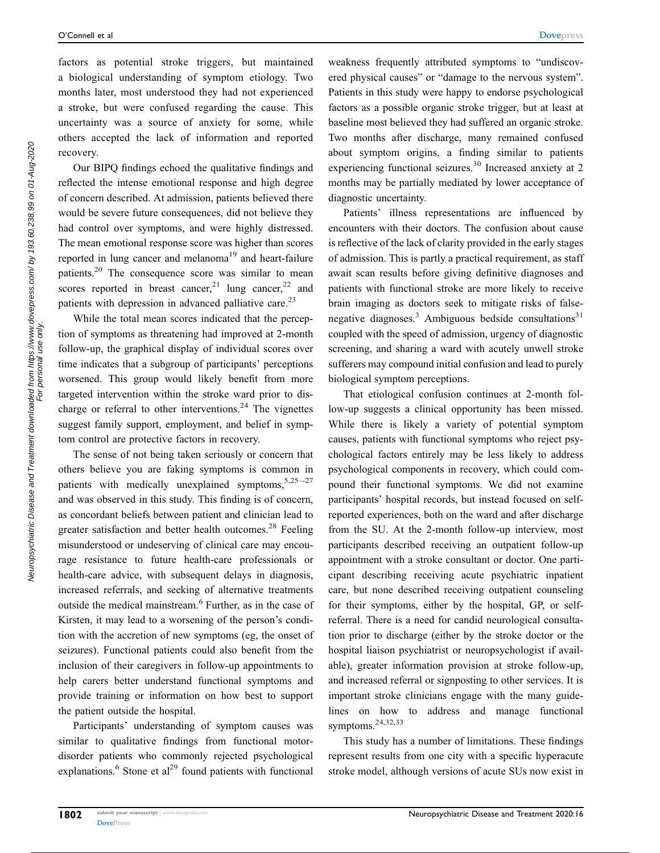factors as potential stroke triggers, but maintained a biological understanding of symptom etiology. Two months later, most understood they had not experienced a stroke, but were confused regarding the cause. This uncertainty was a source of anxiety for some, while others accepted the lack of information and reported recovery.

Our BIPQ findings echoed the qualitative findings and reflected the intense emotional response and high degree of concern described. At admission, patients believed there would be severe future consequences, did not believe they had control over symptoms, and were highly distressed. The mean emotional response score was higher than scores reported in lung cancer and melanoma<sup>[19](#page-9-18)</sup> and heart-failure patients.<sup>[20](#page-9-19)</sup> The consequence score was similar to mean scores reported in breast cancer,<sup>[21](#page-9-20)</sup> lung cancer,<sup>[22](#page-9-21)</sup> and patients with depression in advanced palliative care.<sup>23</sup>

<span id="page-7-3"></span><span id="page-7-2"></span><span id="page-7-1"></span><span id="page-7-0"></span>While the total mean scores indicated that the perception of symptoms as threatening had improved at 2-month follow-up, the graphical display of individual scores over time indicates that a subgroup of participants' perceptions worsened. This group would likely benefit from more targeted intervention within the stroke ward prior to dis-charge or referral to other interventions.<sup>[24](#page-9-23)</sup> The vignettes suggest family support, employment, and belief in symptom control are protective factors in recovery.

<span id="page-7-6"></span><span id="page-7-5"></span>The sense of not being taken seriously or concern that others believe you are faking symptoms is common in patients with medically unexplained symptoms,<sup>[5](#page-9-4)[,25](#page-9-24)–[-27](#page-9-25)</sup> and was observed in this study. This finding is of concern, as concordant beliefs between patient and clinician lead to greater satisfaction and better health outcomes.[28](#page-9-26) Feeling misunderstood or undeserving of clinical care may encourage resistance to future health-care professionals or health-care advice, with subsequent delays in diagnosis, increased referrals, and seeking of alternative treatments outside the medical mainstream.<sup>[6](#page-9-5)</sup> Further, as in the case of Kirsten, it may lead to a worsening of the person's condition with the accretion of new symptoms (eg, the onset of seizures). Functional patients could also benefit from the inclusion of their caregivers in follow-up appointments to help carers better understand functional symptoms and provide training or information on how best to support the patient outside the hospital.

<span id="page-7-7"></span>Participants' understanding of symptom causes was similar to qualitative findings from functional motordisorder patients who commonly rejected psychological explanations. $6$  Stone et al<sup>[29](#page-9-27)</sup> found patients with functional

weakness frequently attributed symptoms to "undiscovered physical causes" or "damage to the nervous system". Patients in this study were happy to endorse psychological factors as a possible organic stroke trigger, but at least at baseline most believed they had suffered an organic stroke. Two months after discharge, many remained confused about symptom origins, a finding similar to patients experiencing functional seizures.<sup>[30](#page-9-28)</sup> Increased anxiety at 2 months may be partially mediated by lower acceptance of diagnostic uncertainty.

<span id="page-7-8"></span>Patients' illness representations are influenced by encounters with their doctors. The confusion about cause is reflective of the lack of clarity provided in the early stages of admission. This is partly a practical requirement, as staff await scan results before giving definitive diagnoses and patients with functional stroke are more likely to receive brain imaging as doctors seek to mitigate risks of false-negative diagnoses.<sup>[3](#page-9-2)</sup> Ambiguous bedside consultations<sup>[31](#page-9-29)</sup> coupled with the speed of admission, urgency of diagnostic screening, and sharing a ward with acutely unwell stroke sufferers may compound initial confusion and lead to purely biological symptom perceptions.

<span id="page-7-9"></span>That etiological confusion continues at 2-month follow-up suggests a clinical opportunity has been missed. While there is likely a variety of potential symptom causes, patients with functional symptoms who reject psychological factors entirely may be less likely to address psychological components in recovery, which could compound their functional symptoms. We did not examine participants' hospital records, but instead focused on selfreported experiences, both on the ward and after discharge from the SU. At the 2-month follow-up interview, most participants described receiving an outpatient follow-up appointment with a stroke consultant or doctor. One participant describing receiving acute psychiatric inpatient care, but none described receiving outpatient counseling for their symptoms, either by the hospital, GP, or selfreferral. There is a need for candid neurological consultation prior to discharge (either by the stroke doctor or the hospital liaison psychiatrist or neuropsychologist if available), greater information provision at stroke follow-up, and increased referral or signposting to other services. It is important stroke clinicians engage with the many guidelines on how to address and manage functional symptoms.[24,](#page-9-23)[32](#page-9-30)[,33](#page-9-31)

<span id="page-7-4"></span>This study has a number of limitations. These findings represent results from one city with a specific hyperacute stroke model, although versions of acute SUs now exist in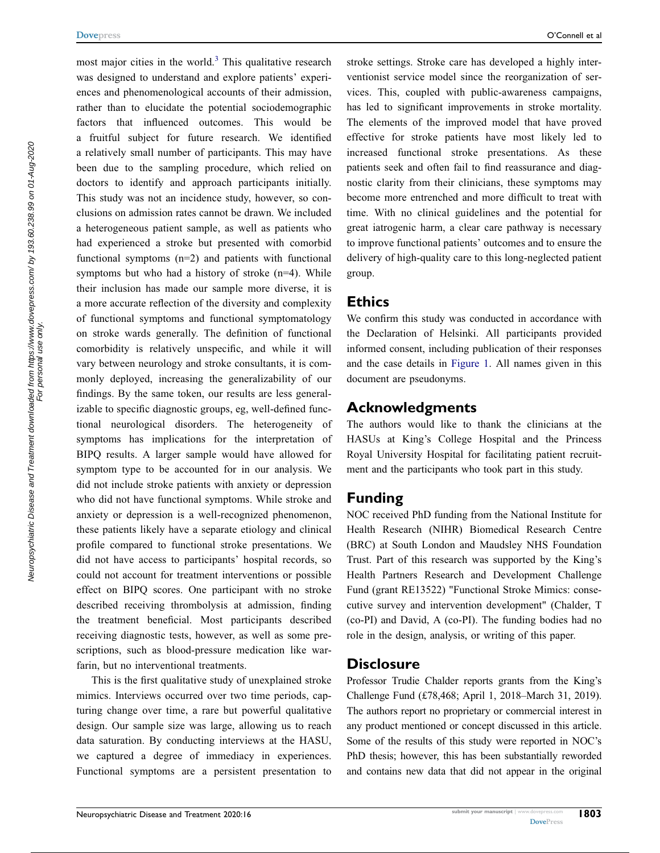most major cities in the world. $3$  This qualitative research was designed to understand and explore patients' experiences and phenomenological accounts of their admission, rather than to elucidate the potential sociodemographic factors that influenced outcomes. This would be a fruitful subject for future research. We identified a relatively small number of participants. This may have been due to the sampling procedure, which relied on doctors to identify and approach participants initially. This study was not an incidence study, however, so conclusions on admission rates cannot be drawn. We included a heterogeneous patient sample, as well as patients who had experienced a stroke but presented with comorbid functional symptoms (n=2) and patients with functional symptoms but who had a history of stroke  $(n=4)$ . While their inclusion has made our sample more diverse, it is a more accurate reflection of the diversity and complexity of functional symptoms and functional symptomatology on stroke wards generally. The definition of functional comorbidity is relatively unspecific, and while it will vary between neurology and stroke consultants, it is commonly deployed, increasing the generalizability of our findings. By the same token, our results are less generalizable to specific diagnostic groups, eg, well-defined functional neurological disorders. The heterogeneity of symptoms has implications for the interpretation of BIPQ results. A larger sample would have allowed for symptom type to be accounted for in our analysis. We did not include stroke patients with anxiety or depression who did not have functional symptoms. While stroke and anxiety or depression is a well-recognized phenomenon, these patients likely have a separate etiology and clinical profile compared to functional stroke presentations. We did not have access to participants' hospital records, so could not account for treatment interventions or possible effect on BIPQ scores. One participant with no stroke described receiving thrombolysis at admission, finding the treatment beneficial. Most participants described receiving diagnostic tests, however, as well as some prescriptions, such as blood-pressure medication like warfarin, but no interventional treatments.

This is the first qualitative study of unexplained stroke mimics. Interviews occurred over two time periods, capturing change over time, a rare but powerful qualitative design. Our sample size was large, allowing us to reach data saturation. By conducting interviews at the HASU, we captured a degree of immediacy in experiences. Functional symptoms are a persistent presentation to

stroke settings. Stroke care has developed a highly interventionist service model since the reorganization of services. This, coupled with public-awareness campaigns, has led to significant improvements in stroke mortality. The elements of the improved model that have proved effective for stroke patients have most likely led to increased functional stroke presentations. As these patients seek and often fail to find reassurance and diagnostic clarity from their clinicians, these symptoms may become more entrenched and more difficult to treat with time. With no clinical guidelines and the potential for great iatrogenic harm, a clear care pathway is necessary to improve functional patients' outcomes and to ensure the delivery of high-quality care to this long-neglected patient group.

#### **Ethics**

We confirm this study was conducted in accordance with the Declaration of Helsinki. All participants provided informed consent, including publication of their responses and the case details in [Figure 1.](#page-4-0) All names given in this document are pseudonyms.

# Acknowledgments

The authors would like to thank the clinicians at the HASUs at King's College Hospital and the Princess Royal University Hospital for facilitating patient recruitment and the participants who took part in this study.

### Funding

NOC received PhD funding from the National Institute for Health Research (NIHR) Biomedical Research Centre (BRC) at South London and Maudsley NHS Foundation Trust. Part of this research was supported by the King's Health Partners Research and Development Challenge Fund (grant RE13522) "Functional Stroke Mimics: consecutive survey and intervention development" (Chalder, T (co-PI) and David, A (co-PI). The funding bodies had no role in the design, analysis, or writing of this paper.

# **Disclosure**

Professor Trudie Chalder reports grants from the King's Challenge Fund (£78,468; April 1, 2018–March 31, 2019). The authors report no proprietary or commercial interest in any product mentioned or concept discussed in this article. Some of the results of this study were reported in NOC's PhD thesis; however, this has been substantially reworded and contains new data that did not appear in the original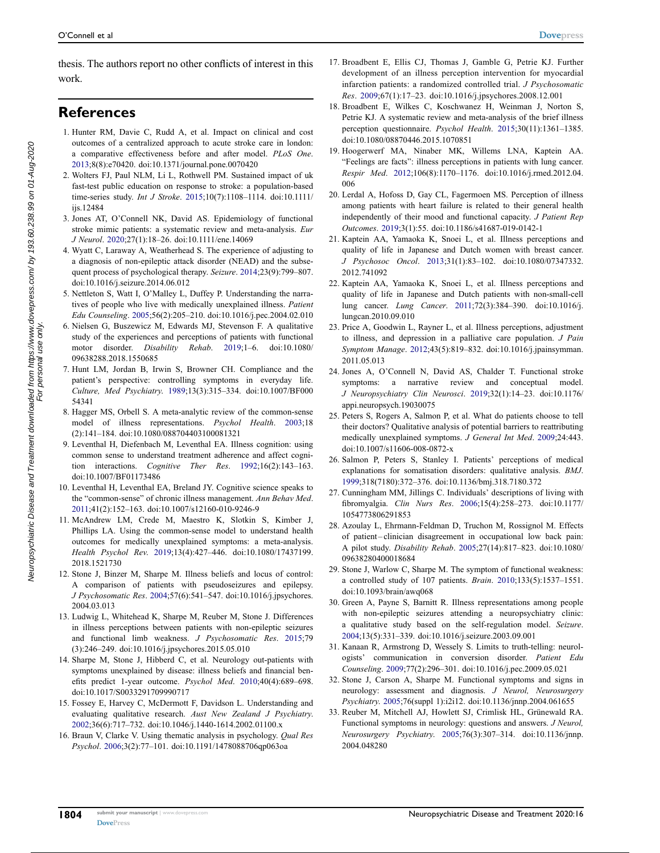thesis. The authors report no other conflicts of interest in this work.

References

- <span id="page-9-0"></span>1. Hunter RM, Davie C, Rudd A, et al. Impact on clinical and cost outcomes of a centralized approach to acute stroke care in london: a comparative effectiveness before and after model. PLoS One. [2013;](#page-0-3)8(8):e70420. doi:[10.1371/journal.pone.0070420](https://doi.org/10.1371/journal.pone.0070420)
- <span id="page-9-1"></span>2. Wolters FJ, Paul NLM, Li L, Rothwell PM. Sustained impact of uk fast-test public education on response to stroke: a population-based time-series study. Int J Stroke. [2015](#page-1-0);10(7):1108–1114. doi:[10.1111/](https://doi.org/10.1111/ijs.12484) [ijs.12484](https://doi.org/10.1111/ijs.12484)
- <span id="page-9-2"></span>3. Jones AT, O'Connell NK, David AS. Epidemiology of functional stroke mimic patients: a systematic review and meta-analysis. Eur J Neurol. [2020](#page-1-1);27(1):18–26. doi:[10.1111/ene.14069](https://doi.org/10.1111/ene.14069)
- <span id="page-9-3"></span>4. Wyatt C, Laraway A, Weatherhead S. The experience of adjusting to a diagnosis of non-epileptic attack disorder (NEAD) and the subsequent process of psychological therapy. Seizure. [2014;](#page-1-2)23(9):799–807. doi:[10.1016/j.seizure.2014.06.012](https://doi.org/10.1016/j.seizure.2014.06.012)
- <span id="page-9-4"></span>5. Nettleton S, Watt I, O'Malley L, Duffey P. Understanding the narratives of people who live with medically unexplained illness. Patient Edu Counseling. [2005;](#page-1-3)56(2):205–210. doi:[10.1016/j.pec.2004.02.010](https://doi.org/10.1016/j.pec.2004.02.010)
- <span id="page-9-5"></span>6. Nielsen G, Buszewicz M, Edwards MJ, Stevenson F. A qualitative study of the experiences and perceptions of patients with functional motor disorder. Disability Rehab. [2019;](#page-1-4)1–6. doi:[10.1080/](https://doi.org/10.1080/09638288.2018.1550685) [09638288.2018.1550685](https://doi.org/10.1080/09638288.2018.1550685)
- <span id="page-9-6"></span>7. Hunt LM, Jordan B, Irwin S, Browner CH. Compliance and the patient's perspective: controlling symptoms in everyday life. Culture, Med Psychiatry. [1989](#page-1-5);13(3):315–334. doi:[10.1007/BF000](https://doi.org/10.1007/BF00054341) [54341](https://doi.org/10.1007/BF00054341)
- <span id="page-9-7"></span>8. Hagger MS, Orbell S. A meta-analytic review of the common-sense model of illness representations. Psychol Health. [2003](#page-1-6);18 (2):141–184. doi:[10.1080/088704403100081321](https://doi.org/10.1080/088704403100081321)
- <span id="page-9-8"></span>9. Leventhal H, Diefenbach M, Leventhal EA. Illness cognition: using common sense to understand treatment adherence and affect cognition interactions. Cognitive Ther Res. [1992;](#page-1-6)16(2):143–163. doi:[10.1007/BF01173486](https://doi.org/10.1007/BF01173486)
- <span id="page-9-9"></span>10. Leventhal H, Leventhal EA, Breland JY. Cognitive science speaks to the "common-sense" of chronic illness management. Ann Behav Med. [2011](#page-1-7);41(2):152–163. doi:[10.1007/s12160-010-9246-9](https://doi.org/10.1007/s12160-010-9246-9)
- <span id="page-9-10"></span>11. McAndrew LM, Crede M, Maestro K, Slotkin S, Kimber J, Phillips LA. Using the common-sense model to understand health outcomes for medically unexplained symptoms: a meta-analysis. Health Psychol Rev. [2019](#page-1-8);13(4):427–446. doi:[10.1080/17437199.](https://doi.org/10.1080/17437199.2018.1521730) [2018.1521730](https://doi.org/10.1080/17437199.2018.1521730)
- <span id="page-9-11"></span>12. Stone J, Binzer M, Sharpe M. Illness beliefs and locus of control: A comparison of patients with pseudoseizures and epilepsy. J Psychosomatic Res. [2004](#page-1-9);57(6):541–547. doi:[10.1016/j.jpsychores.](https://doi.org/10.1016/j.jpsychores.2004.03.013) [2004.03.013](https://doi.org/10.1016/j.jpsychores.2004.03.013)
- <span id="page-9-12"></span>13. Ludwig L, Whitehead K, Sharpe M, Reuber M, Stone J. Differences in illness perceptions between patients with non-epileptic seizures and functional limb weakness. J Psychosomatic Res. [2015](#page-1-10);79 (3):246–249. doi:[10.1016/j.jpsychores.2015.05.010](https://doi.org/10.1016/j.jpsychores.2015.05.010)
- <span id="page-9-13"></span>14. Sharpe M, Stone J, Hibberd C, et al. Neurology out-patients with symptoms unexplained by disease: illness beliefs and financial benefits predict 1-year outcome. Psychol Med. [2010;](#page-1-11)40(4):689–698. doi:[10.1017/S0033291709990717](https://doi.org/10.1017/S0033291709990717)
- <span id="page-9-14"></span>15. Fossey E, Harvey C, McDermott F, Davidson L. Understanding and evaluating qualitative research. Aust New Zealand J Psychiatry. [2002;](#page-1-12)36(6):717–732. doi:[10.1046/j.1440-1614.2002.01100.x](https://doi.org/10.1046/j.1440-1614.2002.01100.x)
- <span id="page-9-15"></span>16. Braun V, Clarke V. Using thematic analysis in psychology. Qual Res Psychol. [2006;](#page-2-0)3(2):77–101. doi:[10.1191/1478088706qp063oa](https://doi.org/10.1191/1478088706qp063oa)
- <span id="page-9-16"></span>17. Broadbent E, Ellis CJ, Thomas J, Gamble G, Petrie KJ. Further development of an illness perception intervention for myocardial infarction patients: a randomized controlled trial. J Psychosomatic Res. [2009;](#page-3-1)67(1):17–23. doi:[10.1016/j.jpsychores.2008.12.001](https://doi.org/10.1016/j.jpsychores.2008.12.001)
- <span id="page-9-17"></span>18. Broadbent E, Wilkes C, Koschwanez H, Weinman J, Norton S, Petrie KJ. A systematic review and meta-analysis of the brief illness perception questionnaire. Psychol Health. [2015;](#page-3-2)30(11):1361–1385. doi:[10.1080/08870446.2015.1070851](https://doi.org/10.1080/08870446.2015.1070851)
- <span id="page-9-18"></span>19. Hoogerwerf MA, Ninaber MK, Willems LNA, Kaptein AA. "Feelings are facts": illness perceptions in patients with lung cancer. Respir Med. [2012](#page-7-0);106(8):1170–1176. doi:[10.1016/j.rmed.2012.04.](https://doi.org/10.1016/j.rmed.2012.04.006) [006](https://doi.org/10.1016/j.rmed.2012.04.006)
- <span id="page-9-19"></span>20. Lerdal A, Hofoss D, Gay CL, Fagermoen MS. Perception of illness among patients with heart failure is related to their general health independently of their mood and functional capacity. J Patient Rep Outcomes. [2019](#page-7-1);3(1):55. doi:[10.1186/s41687-019-0142-1](https://doi.org/10.1186/s41687-019-0142-1)
- <span id="page-9-20"></span>21. Kaptein AA, Yamaoka K, Snoei L, et al. Illness perceptions and quality of life in Japanese and Dutch women with breast cancer. J Psychosoc Oncol. [2013](#page-7-2);31(1):83–102. doi:[10.1080/07347332.](https://doi.org/10.1080/07347332.2012.741092) [2012.741092](https://doi.org/10.1080/07347332.2012.741092)
- <span id="page-9-21"></span>22. Kaptein AA, Yamaoka K, Snoei L, et al. Illness perceptions and quality of life in Japanese and Dutch patients with non-small-cell lung cancer. Lung Cancer. [2011](#page-7-2);72(3):384–390. doi:[10.1016/j.](https://doi.org/10.1016/j.lungcan.2010.09.010) [lungcan.2010.09.010](https://doi.org/10.1016/j.lungcan.2010.09.010)
- <span id="page-9-22"></span>23. Price A, Goodwin L, Rayner L, et al. Illness perceptions, adjustment to illness, and depression in a palliative care population. J Pain Symptom Manage. [2012;](#page-7-3)43(5):819–832. doi:[10.1016/j.jpainsymman.](https://doi.org/10.1016/j.jpainsymman.2011.05.013) [2011.05.013](https://doi.org/10.1016/j.jpainsymman.2011.05.013)
- <span id="page-9-23"></span>24. Jones A, O'Connell N, David AS, Chalder T. Functional stroke symptoms: a narrative review and conceptual model. J Neuropsychiatry Clin Neurosci. [2019;](#page-7-4)32(1):14–23. doi:[10.1176/](https://doi.org/10.1176/appi.neuropsych.19030075) [appi.neuropsych.19030075](https://doi.org/10.1176/appi.neuropsych.19030075)
- <span id="page-9-24"></span>25. Peters S, Rogers A, Salmon P, et al. What do patients choose to tell their doctors? Qualitative analysis of potential barriers to reattributing medically unexplained symptoms. J General Int Med. [2009;](#page-7-5)24:443. doi:[10.1007/s11606-008-0872-x](https://doi.org/10.1007/s11606-008-0872-x)
- 26. Salmon P, Peters S, Stanley I. Patients' perceptions of medical explanations for somatisation disorders: qualitative analysis. BMJ. 1999;318(7180):372–376. doi:[10.1136/bmj.318.7180.372](https://doi.org/10.1136/bmj.318.7180.372)
- <span id="page-9-25"></span>27. Cunningham MM, Jillings C. Individuals' descriptions of living with fibromyalgia. Clin Nurs Res. [2006](#page-7-5);15(4):258–273. doi:[10.1177/](https://doi.org/10.1177/1054773806291853) [1054773806291853](https://doi.org/10.1177/1054773806291853)
- <span id="page-9-26"></span>28. Azoulay L, Ehrmann-Feldman D, Truchon M, Rossignol M. Effects of patient– clinician disagreement in occupational low back pain: A pilot study. Disability Rehab. [2005;](#page-7-6)27(14):817–823. doi:[10.1080/](https://doi.org/10.1080/09638280400018684) [09638280400018684](https://doi.org/10.1080/09638280400018684)
- <span id="page-9-27"></span>29. Stone J, Warlow C, Sharpe M. The symptom of functional weakness: a controlled study of 107 patients. Brain. [2010;](#page-7-7)133(5):1537–1551. doi:[10.1093/brain/awq068](https://doi.org/10.1093/brain/awq068)
- <span id="page-9-28"></span>30. Green A, Payne S, Barnitt R. Illness representations among people with non-epileptic seizures attending a neuropsychiatry clinic: a qualitative study based on the self-regulation model. Seizure. [2004](#page-7-8);13(5):331–339. doi:[10.1016/j.seizure.2003.09.001](https://doi.org/10.1016/j.seizure.2003.09.001)
- <span id="page-9-29"></span>31. Kanaan R, Armstrong D, Wessely S. Limits to truth-telling: neurologists' communication in conversion disorder. Patient Edu Counseling. [2009;](#page-7-9)77(2):296–301. doi:[10.1016/j.pec.2009.05.021](https://doi.org/10.1016/j.pec.2009.05.021)
- <span id="page-9-30"></span>32. Stone J, Carson A, Sharpe M. Functional symptoms and signs in neurology: assessment and diagnosis. J Neurol, Neurosurgery Psychiatry. [2005;](#page-7-4)76(suppl 1):i2i12. doi:[10.1136/jnnp.2004.061655](https://doi.org/10.1136/jnnp.2004.061655)
- <span id="page-9-31"></span>33. Reuber M, Mitchell AJ, Howlett SJ, Crimlisk HL, Grünewald RA. Functional symptoms in neurology: questions and answers. J Neurol, Neurosurgery Psychiatry. [2005](#page-7-4);76(3):307–314. doi:[10.1136/jnnp.](https://doi.org/10.1136/jnnp.2004.048280) [2004.048280](https://doi.org/10.1136/jnnp.2004.048280)